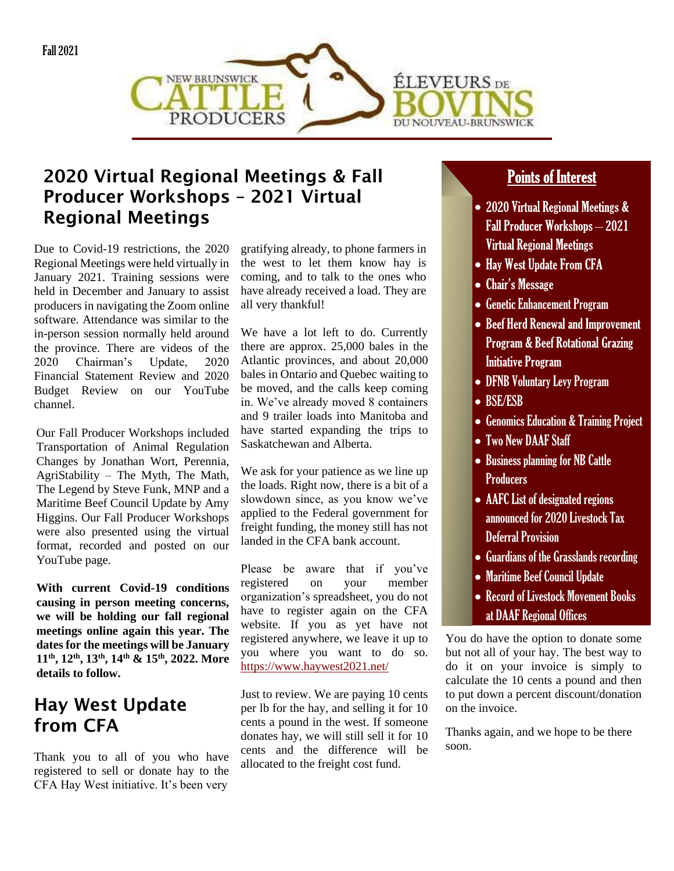



### 2020 Virtual Regional Meetings & Fall Producer Workshops – 2021 Virtual Regional Meetings

Due to Covid-19 restrictions, the 2020 Regional Meetings were held virtually in January 2021. Training sessions were held in December and January to assist producers in navigating the Zoom online software. Attendance was similar to the in-person session normally held around the province. There are videos of the 2020 Chairman's Update, 2020 Financial Statement Review and 2020 Budget Review on our YouTube channel.

Our Fall Producer Workshops included Transportation of Animal Regulation Changes by Jonathan Wort, Perennia, AgriStability – The Myth, The Math, The Legend by Steve Funk, MNP and a Maritime Beef Council Update by Amy Higgins. Our Fall Producer Workshops were also presented using the virtual format, recorded and posted on our YouTube page.

**With current Covid-19 conditions causing in person meeting concerns, we will be holding our fall regional meetings online again this year. The dates for the meetings will be January 11th, 12th, 13th, 14th & 15th, 2022. More details to follow.**

# Hay West Update from CFA

Thank you to all of you who have registered to sell or donate hay to the CFA Hay West initiative. It's been very

gratifying already, to phone farmers in the west to let them know hay is coming, and to talk to the ones who have already received a load. They are all very thankful!

We have a lot left to do. Currently there are approx. 25,000 bales in the Atlantic provinces, and about 20,000 bales in Ontario and Quebec waiting to be moved, and the calls keep coming in. We've already moved 8 containers and 9 trailer loads into Manitoba and have started expanding the trips to Saskatchewan and Alberta.

We ask for your patience as we line up the loads. Right now, there is a bit of a slowdown since, as you know we've applied to the Federal government for freight funding, the money still has not landed in the CFA bank account.

Please be aware that if you've registered on your member organization's spreadsheet, you do not have to register again on the CFA website. If you as yet have not registered anywhere, we leave it up to you where you want to do so. <https://www.haywest2021.net/>

Just to review. We are paying 10 cents per lb for the hay, and selling it for 10 cents a pound in the west. If someone donates hay, we will still sell it for 10 cents and the difference will be allocated to the freight cost fund.

#### **Points of Interest**  $\frac{1}{2}$

- 2020 Virtual Regional Meetings & **Fall Producer Workshops - 2021 Virtual Regional Meetings**
- Hay West Update From CFA
- Chair's Message
- Genetic Enhancement Program
- Beef Herd Renewal and Improvement **Program & Beef Rotational Grazing Initiative Program**
- DFNB Voluntary Levy Program
- BSE/ESB
- Genomics Education & Training Project
- Two New DAAF Staff
- Business planning for NB Cattle Producers
- AAFC List of designated regions announced for 2020 Livestock Tax Deferral Provision
- Guardians of the Grasslands recording
- Maritime Beef Council Update
- Record of Livestock Movement Books at DAAF Regional Offices

You do have the option to donate some but not all of your hay. The best way to do it on your invoice is simply to calculate the 10 cents a pound and then to put down a percent discount/donation on the invoice.

Thanks again, and we hope to be there soon.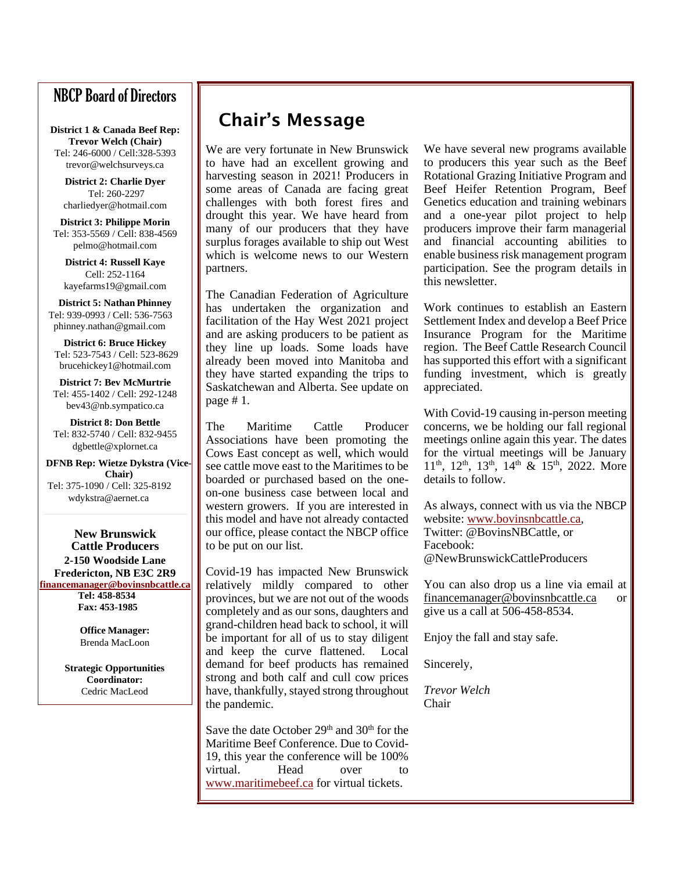### NBCP Board of Directors

**District 1 & Canada Beef Rep: Trevor Welch (Chair)** Tel: 246-6000 / Cell:328-5393 trevor@welchsurveys.ca

**District 2: Charlie Dyer** Tel: 260-2297 charliedyer@hotmail.com

**District 3: Philippe Morin** Tel: 353-5569 / Cell: 838-4569 pelmo@hotmail.com

**District 4: Russell Kaye** Cell: 252-1164 kayefarms19@gmail.com

**District 5: Nathan Phinney** Tel: 939-0993 / Cell: 536-7563 phinney.nathan@gmail.com

**District 6: Bruce Hickey** Tel: 523-7543 / Cell: 523-8629 brucehickey1@hotmail.com

**District 7: Bev McMurtrie** Tel: 455-1402 / Cell: 292-1248 bev43@nb.sympatico.ca

**District 8: Don Bettle** Tel: 832-5740 / Cell: 832-9455 dgbettle@xplornet.ca

**DFNB Rep: Wietze Dykstra (Vice-Chair)** Tel: 375-1090 / Cell: 325-8192 wdykstra@aernet.ca

**New Brunswick Cattle Producers 2-150 Woodside Lane Fredericton, NB E3C 2R9 [financemanager@bovinsnbcattle.ca](mailto:financemanager@bovinsnbcattle.ca)**

 **Tel: 458-8534 Fax: 453-1985**

**Office Manager:** Brenda MacLoon

**Strategic Opportunities Coordinator:** Cedric MacLeod

### Chair's Message

We are very fortunate in New Brunswick to have had an excellent growing and harvesting season in 2021! Producers in some areas of Canada are facing great challenges with both forest fires and drought this year. We have heard from many of our producers that they have surplus forages available to ship out West which is welcome news to our Western partners.

The Canadian Federation of Agriculture has undertaken the organization and facilitation of the Hay West 2021 project and are asking producers to be patient as they line up loads. Some loads have already been moved into Manitoba and they have started expanding the trips to Saskatchewan and Alberta. See update on page # 1.

The Maritime Cattle Producer Associations have been promoting the Cows East concept as well, which would see cattle move east to the Maritimes to be boarded or purchased based on the oneon-one business case between local and western growers. If you are interested in this model and have not already contacted our office, please contact the NBCP office to be put on our list.

Covid-19 has impacted New Brunswick relatively mildly compared to other provinces, but we are not out of the woods completely and as our sons, daughters and grand-children head back to school, it will be important for all of us to stay diligent and keep the curve flattened. Local demand for beef products has remained strong and both calf and cull cow prices have, thankfully, stayed strong throughout the pandemic.

Save the date October  $29<sup>th</sup>$  and  $30<sup>th</sup>$  for the Maritime Beef Conference. Due to Covid-19, this year the conference will be 100% virtual. Head over to [www.maritimebeef.ca](http://www.maritimebeef.ca/) for virtual tickets.

We have several new programs available to producers this year such as the Beef Rotational Grazing Initiative Program and Beef Heifer Retention Program, Beef Genetics education and training webinars and a one-year pilot project to help producers improve their farm managerial and financial accounting abilities to enable business risk management program participation. See the program details in this newsletter.

Work continues to establish an Eastern Settlement Index and develop a Beef Price Insurance Program for the Maritime region. The Beef Cattle Research Council has supported this effort with a significant funding investment, which is greatly appreciated.

With Covid-19 causing in-person meeting concerns, we be holding our fall regional meetings online again this year. The dates for the virtual meetings will be January  $11<sup>th</sup>$ ,  $12<sup>th</sup>$ ,  $13<sup>th</sup>$ ,  $14<sup>th</sup>$  &  $15<sup>th</sup>$ , 2022. More details to follow.

As always, connect with us via the NBCP website: [www.bovinsnbcattle.ca,](http://www.bovinsnbcattle.ca/) Twitter: @BovinsNBCattle, or Facebook: @NewBrunswickCattleProducers

You can also drop us a line via email at financemanager@bovinsnbcattle.ca or give us a call at 506-458-8534.

Enjoy the fall and stay safe.

Sincerely,

*Trevor Welch* Chair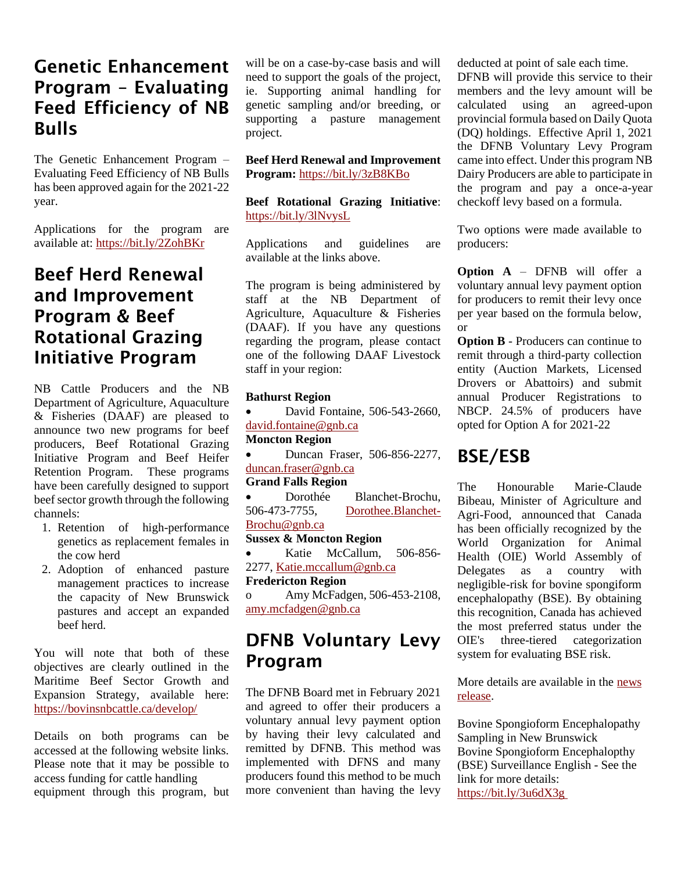### Genetic Enhancement Program – Evaluating Feed Efficiency of NB Bulls

The Genetic Enhancement Program – Evaluating Feed Efficiency of NB Bulls has been approved again for the 2021-22 year.

Applications for the program are available at:<https://bit.ly/2ZohBKr>

### Beef Herd Renewal and Improvement Program & Beef Rotational Grazing Initiative Program

NB Cattle Producers and the NB Department of Agriculture, Aquaculture & Fisheries (DAAF) are pleased to announce two new programs for beef producers, Beef Rotational Grazing Initiative Program and Beef Heifer Retention Program. These programs have been carefully designed to support beef sector growth through the following channels:

- 1. Retention of high-performance genetics as replacement females in the cow herd
- 2. Adoption of enhanced pasture management practices to increase the capacity of New Brunswick pastures and accept an expanded beef herd.

You will note that both of these objectives are clearly outlined in the Maritime Beef Sector Growth and Expansion Strategy, available here: <https://bovinsnbcattle.ca/develop/>

Details on both programs can be accessed at the following website links. Please note that it may be possible to access funding for cattle handling equipment through this program, but will be on a case-by-case basis and will need to support the goals of the project, ie. Supporting animal handling for genetic sampling and/or breeding, or supporting a pasture management project.

**Beef Herd Renewal and Improvement Program:** <https://bit.ly/3zB8KBo>

**Beef Rotational Grazing Initiative**: <https://bit.ly/3lNvysL>

Applications and guidelines are available at the links above.

The program is being administered by staff at the NB Department of Agriculture, Aquaculture & Fisheries (DAAF). If you have any questions regarding the program, please contact one of the following DAAF Livestock staff in your region:

#### **Bathurst Region**

• David Fontaine, 506-543-2660, [david.fontaine@gnb.ca](mailto:david.fontaine@gnb.ca)

#### **Moncton Region**

• Duncan Fraser, 506-856-2277, [duncan.fraser@gnb.ca](mailto:duncan.fraser@gnb.ca)

#### **Grand Falls Region**

Dorothée Blanchet-Brochu, 506-473-7755, [Dorothee.Blanchet-](mailto:Dorothee.Blanchet-Brochu@gnb.ca)[Brochu@gnb.ca](mailto:Dorothee.Blanchet-Brochu@gnb.ca)

#### **Sussex & Moncton Region**

• Katie McCallum, 506-856- 2277[, Katie.mccallum@gnb.ca](mailto:Katie.mccallum@gnb.ca)

#### **Fredericton Region**

Amy McFadgen, 506-453-2108, [amy.mcfadgen@gnb.ca](mailto:amy.mcfadgen@gnb.ca)

### DFNB Voluntary Levy Program

The DFNB Board met in February 2021 and agreed to offer their producers a voluntary annual levy payment option by having their levy calculated and remitted by DFNB. This method was implemented with DFNS and many producers found this method to be much more convenient than having the levy deducted at point of sale each time.

DFNB will provide this service to their members and the levy amount will be calculated using an agreed-upon provincial formula based on Daily Quota (DQ) holdings. Effective April 1, 2021 the DFNB Voluntary Levy Program came into effect. Under this program NB Dairy Producers are able to participate in the program and pay a once-a-year checkoff levy based on a formula.

Two options were made available to producers:

**Option A** – DFNB will offer a voluntary annual levy payment option for producers to remit their levy once per year based on the formula below, or

**Option B** - Producers can continue to remit through a third-party collection entity (Auction Markets, Licensed Drovers or Abattoirs) and submit annual Producer Registrations to NBCP. 24.5% of producers have opted for Option A for 2021-22

### BSE/ESB

The Honourable Marie-Claude Bibeau, Minister of Agriculture and Agri-Food, announced that Canada has been officially recognized by the World Organization for Animal Health (OIE) World Assembly of Delegates as a country with negligible-risk for bovine spongiform encephalopathy (BSE). By obtaining this recognition, Canada has achieved the most preferred status under the OIE's three-tiered categorization system for evaluating BSE risk.

More details are available in the [news](https://www.canada.ca/en/food-inspection-agency/news/2021/05/minister-bibeau-welcomes-recognition-that-canada-is-negligible-risk-for-bse.html)  [release.](https://www.canada.ca/en/food-inspection-agency/news/2021/05/minister-bibeau-welcomes-recognition-that-canada-is-negligible-risk-for-bse.html)

Bovine Spongioform Encephalopathy Sampling in New Brunswick Bovine Spongioform Encephalopthy (BSE) Surveillance English - See the link for more details: <https://bit.ly/3u6dX3g>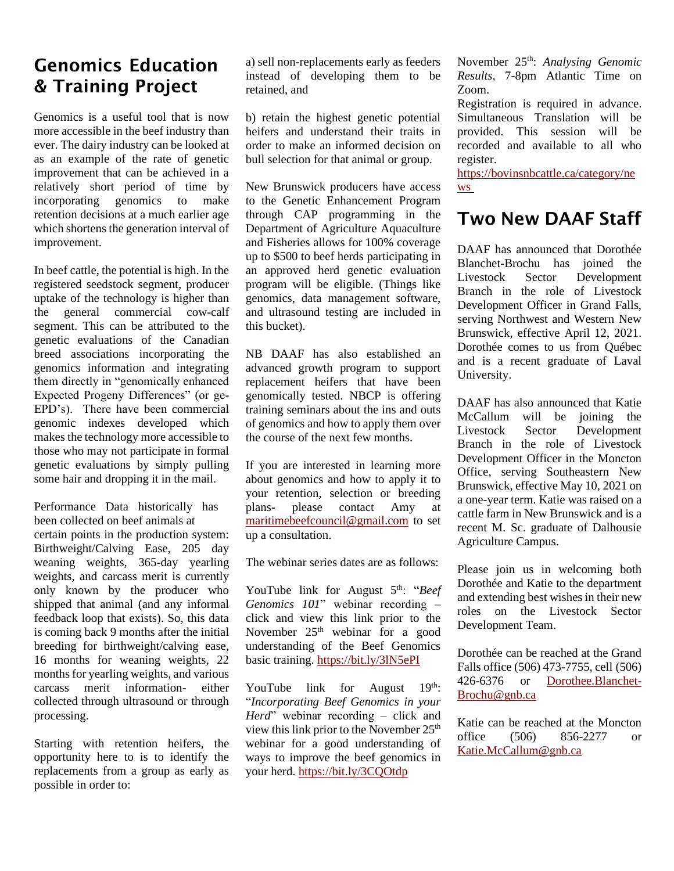### Genomics Education & Training Project

Genomics is a useful tool that is now more accessible in the beef industry than ever. The dairy industry can be looked at as an example of the rate of genetic improvement that can be achieved in a relatively short period of time by incorporating genomics to make retention decisions at a much earlier age which shortens the generation interval of improvement.

In beef cattle, the potential is high. In the registered seedstock segment, producer uptake of the technology is higher than the general commercial cow-calf segment. This can be attributed to the genetic evaluations of the Canadian breed associations incorporating the genomics information and integrating them directly in "genomically enhanced Expected Progeny Differences" (or ge-EPD's). There have been commercial genomic indexes developed which makes the technology more accessible to those who may not participate in formal genetic evaluations by simply pulling some hair and dropping it in the mail.

Performance Data historically has been collected on beef animals at certain points in the production system: Birthweight/Calving Ease, 205 day weaning weights, 365-day yearling weights, and carcass merit is currently only known by the producer who shipped that animal (and any informal feedback loop that exists). So, this data is coming back 9 months after the initial breeding for birthweight/calving ease, 16 months for weaning weights, 22 months for yearling weights, and various carcass merit information- either collected through ultrasound or through processing.

Starting with retention heifers, the opportunity here to is to identify the replacements from a group as early as possible in order to:

a) sell non-replacements early as feeders instead of developing them to be retained, and

b) retain the highest genetic potential heifers and understand their traits in order to make an informed decision on bull selection for that animal or group.

New Brunswick producers have access to the Genetic Enhancement Program through CAP programming in the Department of Agriculture Aquaculture and Fisheries allows for 100% coverage up to \$500 to beef herds participating in an approved herd genetic evaluation program will be eligible. (Things like genomics, data management software, and ultrasound testing are included in this bucket).

NB DAAF has also established an advanced growth program to support replacement heifers that have been genomically tested. NBCP is offering training seminars about the ins and outs of genomics and how to apply them over the course of the next few months.

If you are interested in learning more about genomics and how to apply it to your retention, selection or breeding plans- please contact Amy at [maritimebeefcouncil@gmail.com](mailto:maritimebeefcouncil@gmail.com) to set up a consultation.

The webinar series dates are as follows:

YouTube link for August 5<sup>th</sup>: "*Beef Genomics 101*" webinar recording – click and view this link prior to the November  $25<sup>th</sup>$  webinar for a good understanding of the Beef Genomics basic training. <https://bit.ly/3lN5ePI>

YouTube link for August 19th: "*Incorporating Beef Genomics in your Herd*" webinar recording – click and view this link prior to the November 25<sup>th</sup> webinar for a good understanding of ways to improve the beef genomics in your herd. <https://bit.ly/3CQOtdp>

November 25th: *Analysing Genomic Results,* 7-8pm Atlantic Time on Zoom.

Registration is required in advance. Simultaneous Translation will be provided. This session will be recorded and available to all who register.

[https://bovinsnbcattle.ca/category/ne](https://bovinsnbcattle.ca/category/news) [ws](https://bovinsnbcattle.ca/category/news)

# Two New DAAF Staff

DAAF has announced that Dorothée Blanchet-Brochu has joined the Livestock Sector Development Branch in the role of Livestock Development Officer in Grand Falls, serving Northwest and Western New Brunswick, effective April 12, 2021. Dorothée comes to us from Québec and is a recent graduate of Laval University.

DAAF has also announced that Katie McCallum will be joining the Livestock Sector Development Branch in the role of Livestock Development Officer in the Moncton Office, serving Southeastern New Brunswick, effective May 10, 2021 on a one-year term. Katie was raised on a cattle farm in New Brunswick and is a recent M. Sc. graduate of Dalhousie Agriculture Campus.

Please join us in welcoming both Dorothée and Katie to the department and extending best wishes in their new roles on the Livestock Sector Development Team.

Dorothée can be reached at the Grand Falls office (506) 473-7755, cell (506) 426-6376 or [Dorothee.Blanchet-](mailto:Dorothee.Blanchet-Brochu@gnb.ca)[Brochu@gnb.ca](mailto:Dorothee.Blanchet-Brochu@gnb.ca)

Katie can be reached at the Moncton office (506) 856-2277 or [Katie.McCallum@gnb.ca](mailto:Katie.McCallum@gnb.ca)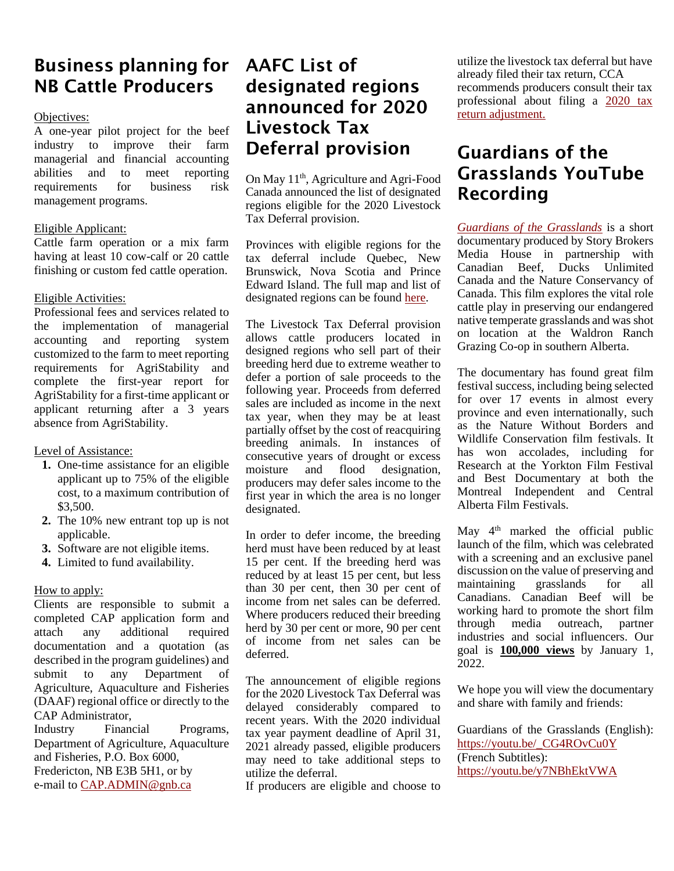# Business planning for NB Cattle Producers

#### Objectives:

A one-year pilot project for the beef industry to improve their farm managerial and financial accounting abilities and to meet reporting requirements for business risk management programs.

#### Eligible Applicant:

Cattle farm operation or a mix farm having at least 10 cow-calf or 20 cattle finishing or custom fed cattle operation.

#### Eligible Activities:

Professional fees and services related to the implementation of managerial accounting and reporting system customized to the farm to meet reporting requirements for AgriStability and complete the first-year report for AgriStability for a first-time applicant or applicant returning after a 3 years absence from AgriStability.

#### Level of Assistance:

- **1.** One-time assistance for an eligible applicant up to 75% of the eligible cost, to a maximum contribution of \$3,500.
- **2.** The 10% new entrant top up is not applicable.
- **3.** Software are not eligible items.
- **4.** Limited to fund availability.

#### How to apply:

Clients are responsible to submit a completed CAP application form and attach any additional required documentation and a quotation (as described in the program guidelines) and submit to any Department of Agriculture, Aquaculture and Fisheries (DAAF) regional office or directly to the CAP Administrator,

Industry Financial Programs, Department of Agriculture, Aquaculture and Fisheries, P.O. Box 6000, Fredericton, NB E3B 5H1, or by e-mail to [CAP.ADMIN@gnb.ca](mailto:CAP.ADMIN@gnb.ca)

## AAFC List of designated regions announced for 2020 Livestock Tax Deferral provision

On May 11<sup>th</sup>, Agriculture and Agri-Food Canada announced the list of designated regions eligible for the 2020 Livestock Tax Deferral provision.

Provinces with eligible regions for the tax deferral include Quebec, New Brunswick, Nova Scotia and Prince Edward Island. The full map and list of designated regions can be foun[d here.](https://www.agr.gc.ca/eng/agriculture-and-the-environment/drought-watch/livestock-tax-deferral-provision/2020-list-of-prescribed-regions/?id=1620138156975)

The Livestock Tax Deferral provision allows cattle producers located in designed regions who sell part of their breeding herd due to extreme weather to defer a portion of sale proceeds to the following year. Proceeds from deferred sales are included as income in the next tax year, when they may be at least partially offset by the cost of reacquiring breeding animals. In instances of consecutive years of drought or excess moisture and flood designation, producers may defer sales income to the first year in which the area is no longer designated.

In order to defer income, the breeding herd must have been reduced by at least 15 per cent. If the breeding herd was reduced by at least 15 per cent, but less than 30 per cent, then 30 per cent of income from net sales can be deferred. Where producers reduced their breeding herd by 30 per cent or more, 90 per cent of income from net sales can be deferred.

The announcement of eligible regions for the 2020 Livestock Tax Deferral was delayed considerably compared to recent years. With the 2020 individual tax year payment deadline of April 31, 2021 already passed, eligible producers may need to take additional steps to utilize the deferral.

If producers are eligible and choose to

utilize the livestock tax deferral but have already filed their tax return, CCA recommends producers consult their tax professional about filing a [2020 tax](https://www.canada.ca/en/revenue-agency/services/tax/individuals/topics/about-your-tax-return/change-your-return.html)  [return](https://www.canada.ca/en/revenue-agency/services/tax/individuals/topics/about-your-tax-return/change-your-return.html) [adjustment.](https://www.canada.ca/en/revenue-agency/services/tax/individuals/topics/about-your-tax-return/change-your-return.html)

# Guardians of the Grasslands YouTube Recording

*[Guardians of the Grasslands](http://www.guardiansofthegrasslands.com/)* is a short documentary produced by Story Brokers Media House in partnership with Canadian Beef, Ducks Unlimited Canada and the Nature Conservancy of Canada. This film explores the vital role cattle play in preserving our endangered native temperate grasslands and was shot on location at the Waldron Ranch Grazing Co-op in southern Alberta.

The documentary has found great film festival success, including being selected for over 17 events in almost every province and even internationally, such as the Nature Without Borders and Wildlife Conservation film festivals. It has won accolades, including for Research at the Yorkton Film Festival and Best Documentary at both the Montreal Independent and Central Alberta Film Festivals.

May  $4<sup>th</sup>$  marked the official public launch of the film, which was celebrated with a screening and an exclusive panel discussion on the value of preserving and maintaining grasslands for all Canadians. Canadian Beef will be working hard to promote the short film through media outreach, partner industries and social influencers. Our goal is **100,000 views** by January 1, 2022.

We hope you will view the documentary and share with family and friends:

Guardians of the Grasslands (English): [https://youtu.be/\\_CG4ROvCu0Y](https://youtu.be/_CG4ROvCu0Y) (French Subtitles): <https://youtu.be/y7NBhEktVWA>